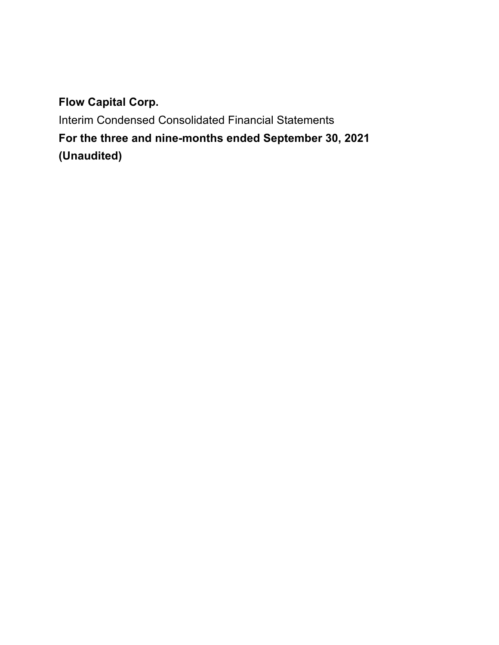Interim Condensed Consolidated Financial Statements **For the three and nine-months ended September 30, 2021 (Unaudited)**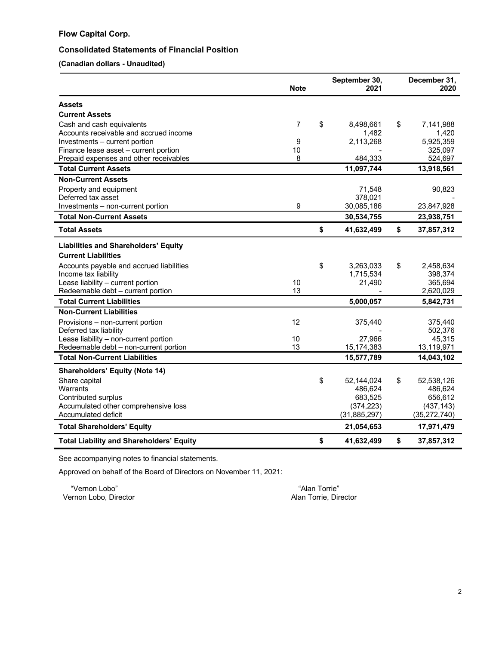# **Consolidated Statements of Financial Position**

**(Canadian dollars - Unaudited)**

|                                                 | <b>Note</b> | September 30,<br>2021 | December 31,<br>2020 |
|-------------------------------------------------|-------------|-----------------------|----------------------|
| <b>Assets</b>                                   |             |                       |                      |
| <b>Current Assets</b>                           |             |                       |                      |
| Cash and cash equivalents                       | 7           | \$<br>8,498,661       | \$<br>7,141,988      |
| Accounts receivable and accrued income          |             | 1,482                 | 1,420                |
| Investments - current portion                   | 9           | 2,113,268             | 5,925,359            |
| Finance lease asset – current portion           | 10          |                       | 325,097              |
| Prepaid expenses and other receivables          | 8           | 484,333               | 524,697              |
| <b>Total Current Assets</b>                     |             | 11,097,744            | 13,918,561           |
| <b>Non-Current Assets</b>                       |             |                       |                      |
| Property and equipment                          |             | 71,548                | 90,823               |
| Deferred tax asset                              |             | 378,021               |                      |
| Investments – non-current portion               | 9           | 30,085,186            | 23,847,928           |
| <b>Total Non-Current Assets</b>                 |             | 30,534,755            | 23,938,751           |
| <b>Total Assets</b>                             |             | \$<br>41,632,499      | \$<br>37,857,312     |
| <b>Liabilities and Shareholders' Equity</b>     |             |                       |                      |
| <b>Current Liabilities</b>                      |             |                       |                      |
| Accounts payable and accrued liabilities        |             | \$<br>3,263,033       | \$<br>2,458,634      |
| Income tax liability                            |             | 1,715,534             | 398,374              |
| Lease liability - current portion               | 10          | 21,490                | 365,694              |
| Redeemable debt - current portion               | 13          |                       | 2,620,029            |
| <b>Total Current Liabilities</b>                |             | 5,000,057             | 5,842,731            |
| <b>Non-Current Liabilities</b>                  |             |                       |                      |
| Provisions - non-current portion                | 12          | 375,440               | 375,440              |
| Deferred tax liability                          |             |                       | 502,376              |
| Lease liability - non-current portion           | 10          | 27,966                | 45,315               |
| Redeemable debt - non-current portion           | 13          | 15,174,383            | 13,119,971           |
| <b>Total Non-Current Liabilities</b>            |             | 15,577,789            | 14,043,102           |
| <b>Shareholders' Equity (Note 14)</b>           |             |                       |                      |
| Share capital                                   |             | \$<br>52,144,024      | \$<br>52,538,126     |
| Warrants                                        |             | 486,624               | 486,624              |
| Contributed surplus                             |             | 683,525               | 656,612              |
| Accumulated other comprehensive loss            |             | (374, 223)            | (437, 143)           |
| Accumulated deficit                             |             | (31, 885, 297)        | (35, 272, 740)       |
| <b>Total Shareholders' Equity</b>               |             | 21,054,653            | 17,971,479           |
| <b>Total Liability and Shareholders' Equity</b> |             | \$<br>41,632,499      | \$<br>37,857,312     |

See accompanying notes to financial statements.

Approved on behalf of the Board of Directors on November 11, 2021:

Externon Lobo" ("Vernon Lobo" metalliculari e "Alan Torrie" ("Alan Torrie" Man Torrie" ("Alan Torrie" ("Alan Torrie" ("Alan Torrie" ("Alan Torrie" ("Alan Torrie" ("Alan Torrie" ("Alan Torrie" ("Alan Torrie" ("Alan Torrie" Vernon Lobo, Director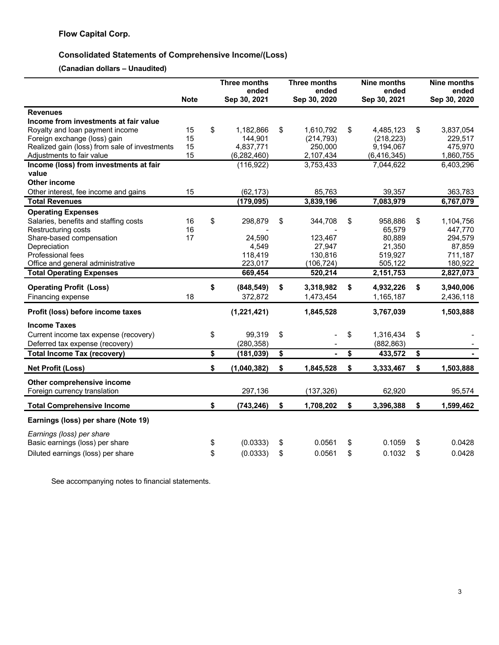# **Consolidated Statements of Comprehensive Income/(Loss)**

**(Canadian dollars – Unaudited)**

|                                               | <b>Note</b> | <b>Three months</b><br>ended<br>Sep 30, 2021 | <b>Three months</b><br>ended<br>Sep 30, 2020 | <b>Nine months</b><br>ended<br>Sep 30, 2021 | Nine months<br>ended<br>Sep 30, 2020 |
|-----------------------------------------------|-------------|----------------------------------------------|----------------------------------------------|---------------------------------------------|--------------------------------------|
| <b>Revenues</b>                               |             |                                              |                                              |                                             |                                      |
| Income from investments at fair value         |             |                                              |                                              |                                             |                                      |
| Royalty and loan payment income               | 15          | \$<br>1,182,866                              | \$<br>1,610,792                              | \$<br>4,485,123                             | \$<br>3,837,054                      |
| Foreign exchange (loss) gain                  | 15          | 144,901                                      | (214, 793)                                   | (218, 223)                                  | 229,517                              |
| Realized gain (loss) from sale of investments | 15          | 4,837,771                                    | 250,000                                      | 9,194,067                                   | 475,970                              |
| Adjustments to fair value                     | 15          | (6, 282, 460)                                | 2,107,434                                    | (6, 416, 345)                               | 1,860,755                            |
| Income (loss) from investments at fair        |             | (116, 922)                                   | 3,753,433                                    | 7,044,622                                   | 6,403,296                            |
| value                                         |             |                                              |                                              |                                             |                                      |
| <b>Other income</b>                           |             |                                              |                                              |                                             |                                      |
| Other interest, fee income and gains          | 15          | (62, 173)                                    | 85,763                                       | 39,357                                      | 363,783                              |
| <b>Total Revenues</b>                         |             | (179, 095)                                   | 3,839,196                                    | 7,083,979                                   | 6,767,079                            |
| <b>Operating Expenses</b>                     |             |                                              |                                              |                                             |                                      |
| Salaries, benefits and staffing costs         | 16          | \$<br>298,879                                | \$<br>344,708                                | \$<br>958,886                               | \$<br>1,104,756                      |
| Restructuring costs                           | 16          |                                              |                                              | 65,579                                      | 447,770                              |
| Share-based compensation                      | 17          | 24,590                                       | 123,467                                      | 80,889                                      | 294,579                              |
| Depreciation                                  |             | 4,549                                        | 27.947                                       | 21,350                                      | 87,859                               |
| Professional fees                             |             | 118,419                                      | 130,816                                      | 519,927                                     | 711,187                              |
| Office and general administrative             |             | 223,017                                      | (106, 724)                                   | 505,122                                     | 180,922                              |
| <b>Total Operating Expenses</b>               |             | 669,454                                      | 520,214                                      | 2,151,753                                   | 2,827,073                            |
| <b>Operating Profit (Loss)</b>                |             | \$<br>(848, 549)                             | \$<br>3,318,982                              | \$<br>4,932,226                             | \$<br>3,940,006                      |
| Financing expense                             | 18          | 372,872                                      | 1,473,454                                    | 1,165,187                                   | 2,436,118                            |
| Profit (loss) before income taxes             |             | (1,221,421)                                  | 1,845,528                                    | 3,767,039                                   | 1,503,888                            |
| <b>Income Taxes</b>                           |             |                                              |                                              |                                             |                                      |
| Current income tax expense (recovery)         |             | \$<br>99,319                                 | \$                                           | \$<br>1,316,434                             | \$                                   |
| Deferred tax expense (recovery)               |             | (280, 358)                                   |                                              | (882, 863)                                  |                                      |
| <b>Total Income Tax (recovery)</b>            |             | \$<br>(181, 039)                             | \$<br>٠                                      | \$<br>433,572                               | \$                                   |
| <b>Net Profit (Loss)</b>                      |             | \$<br>(1,040,382)                            | \$<br>1,845,528                              | \$<br>3,333,467                             | \$<br>1,503,888                      |
| Other comprehensive income                    |             |                                              |                                              |                                             |                                      |
| Foreign currency translation                  |             | 297,136                                      | (137, 326)                                   | 62,920                                      | 95,574                               |
| <b>Total Comprehensive Income</b>             |             | \$<br>(743, 246)                             | \$<br>1,708,202                              | \$<br>3,396,388                             | \$<br>1,599,462                      |
| Earnings (loss) per share (Note 19)           |             |                                              |                                              |                                             |                                      |
| Earnings (loss) per share                     |             |                                              |                                              |                                             |                                      |
| Basic earnings (loss) per share               |             | \$<br>(0.0333)                               | \$<br>0.0561                                 | \$<br>0.1059                                | \$<br>0.0428                         |
| Diluted earnings (loss) per share             |             | \$<br>(0.0333)                               | \$<br>0.0561                                 | \$<br>0.1032                                | \$<br>0.0428                         |

See accompanying notes to financial statements.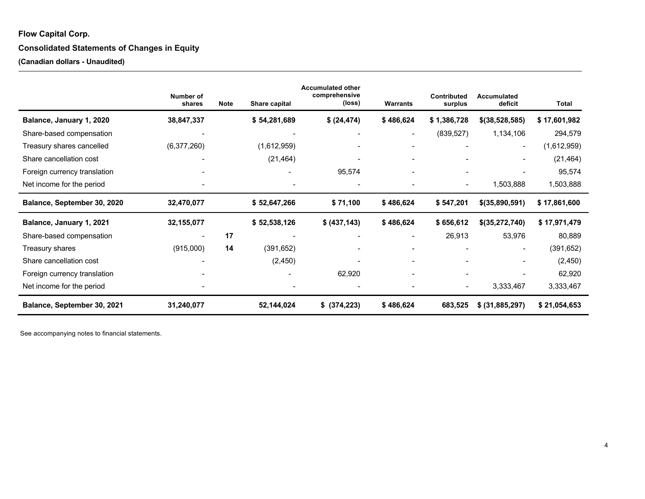# **Consolidated Statements of Changes in Equity**

**(Canadian dollars - Unaudited)**

|                              | Number of<br>shares | <b>Note</b> | Share capital | <b>Accumulated other</b><br>comprehensive<br>(loss) | <b>Warrants</b> | Contributed<br>surplus   | Accumulated<br>deficit   | <b>Total</b> |
|------------------------------|---------------------|-------------|---------------|-----------------------------------------------------|-----------------|--------------------------|--------------------------|--------------|
| Balance, January 1, 2020     | 38,847,337          |             | \$54,281,689  | \$ (24, 474)                                        | \$486,624       | \$1,386,728              | \$(38,528,585)           | \$17,601,982 |
| Share-based compensation     |                     |             |               |                                                     |                 | (839, 527)               | 1,134,106                | 294,579      |
| Treasury shares cancelled    | (6,377,260)         |             | (1,612,959)   |                                                     |                 |                          | $\blacksquare$           | (1,612,959)  |
| Share cancellation cost      |                     |             | (21, 464)     |                                                     |                 |                          | $\overline{\phantom{a}}$ | (21, 464)    |
| Foreign currency translation |                     |             |               | 95,574                                              |                 |                          |                          | 95,574       |
| Net income for the period    |                     |             |               | $\overline{\phantom{a}}$                            |                 | $\overline{\phantom{a}}$ | 1,503,888                | 1,503,888    |
| Balance, September 30, 2020  | 32,470,077          |             | \$52,647,266  | \$71,100                                            | \$486,624       | \$547,201                | \$(35,890,591)           | \$17,861,600 |
| Balance, January 1, 2021     | 32,155,077          |             | \$52,538,126  | \$ (437, 143)                                       | \$486,624       | \$656,612                | \$(35,272,740)           | \$17,971,479 |
| Share-based compensation     |                     | 17          |               |                                                     |                 | 26,913                   | 53,976                   | 80,889       |
| Treasury shares              | (915,000)           | 14          | (391, 652)    |                                                     |                 |                          | $\blacksquare$           | (391, 652)   |
| Share cancellation cost      |                     |             | (2, 450)      |                                                     |                 |                          | $\overline{\phantom{a}}$ | (2,450)      |
| Foreign currency translation |                     |             |               | 62,920                                              |                 |                          |                          | 62,920       |
| Net income for the period    |                     |             |               | ٠                                                   |                 | $\overline{\phantom{a}}$ | 3,333,467                | 3,333,467    |
| Balance, September 30, 2021  | 31,240,077          |             | 52,144,024    | \$ (374, 223)                                       | \$486,624       | 683,525                  | \$ (31,885,297)          | \$21,054,653 |

See accompanying notes to financial statements.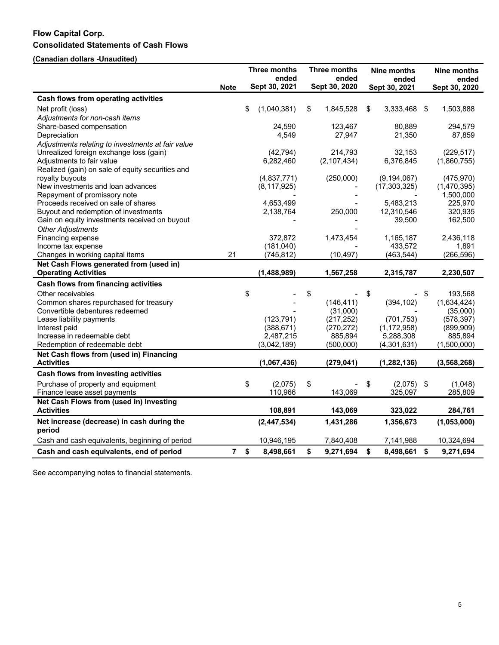# **Flow Capital Corp. Consolidated Statements of Cash Flows**

**(Canadian dollars -Unaudited)**

|                                                                     | Three months<br>ended |    |               | Three months<br>ended |    | Nine months<br>ended |      | Nine months<br>ended |
|---------------------------------------------------------------------|-----------------------|----|---------------|-----------------------|----|----------------------|------|----------------------|
|                                                                     | <b>Note</b>           |    | Sept 30, 2021 | Sept 30, 2020         |    | Sept 30, 2021        |      | Sept 30, 2020        |
| <b>Cash flows from operating activities</b>                         |                       |    |               |                       |    |                      |      |                      |
| Net profit (loss)                                                   |                       | \$ | (1,040,381)   | \$<br>1,845,528       | \$ | 3,333,468            | - \$ | 1,503,888            |
| Adjustments for non-cash items                                      |                       |    |               |                       |    |                      |      |                      |
| Share-based compensation                                            |                       |    | 24,590        | 123,467               |    | 80,889               |      | 294,579              |
| Depreciation                                                        |                       |    | 4,549         | 27,947                |    | 21,350               |      | 87,859               |
| Adjustments relating to investments at fair value                   |                       |    |               |                       |    |                      |      |                      |
| Unrealized foreign exchange loss (gain)                             |                       |    | (42, 794)     | 214,793               |    | 32,153               |      | (229, 517)           |
| Adjustments to fair value                                           |                       |    | 6,282,460     | (2, 107, 434)         |    | 6,376,845            |      | (1,860,755)          |
| Realized (gain) on sale of equity securities and                    |                       |    |               |                       |    |                      |      |                      |
| royalty buyouts                                                     |                       |    | (4,837,771)   | (250,000)             |    | (9, 194, 067)        |      | (475, 970)           |
| New investments and loan advances                                   |                       |    | (8, 117, 925) |                       |    | (17, 303, 325)       |      | (1,470,395)          |
| Repayment of promissory note<br>Proceeds received on sale of shares |                       |    | 4,653,499     |                       |    | 5,483,213            |      | 1,500,000<br>225,970 |
| Buyout and redemption of investments                                |                       |    | 2,138,764     | 250,000               |    | 12,310,546           |      | 320,935              |
| Gain on equity investments received on buyout                       |                       |    |               |                       |    | 39,500               |      | 162,500              |
| <b>Other Adjustments</b>                                            |                       |    |               |                       |    |                      |      |                      |
| Financing expense                                                   |                       |    | 372,872       | 1,473,454             |    | 1,165,187            |      | 2,436,118            |
| Income tax expense                                                  |                       |    | (181, 040)    |                       |    | 433,572              |      | 1,891                |
| Changes in working capital items                                    | 21                    |    | (745, 812)    | (10, 497)             |    | (463, 544)           |      | (266, 596)           |
| Net Cash Flows generated from (used in)                             |                       |    |               |                       |    |                      |      |                      |
| <b>Operating Activities</b>                                         |                       |    | (1,488,989)   | 1,567,258             |    | 2,315,787            |      | 2,230,507            |
| <b>Cash flows from financing activities</b>                         |                       |    |               |                       |    |                      |      |                      |
| Other receivables                                                   |                       | \$ |               | \$                    | \$ |                      | \$   | 193,568              |
| Common shares repurchased for treasury                              |                       |    |               | (146, 411)            |    | (394, 102)           |      | (1,634,424)          |
| Convertible debentures redeemed                                     |                       |    |               | (31,000)              |    |                      |      | (35,000)             |
| Lease liability payments                                            |                       |    | (123, 791)    | (217, 252)            |    | (701, 753)           |      | (578, 397)           |
| Interest paid                                                       |                       |    | (388, 671)    | (270, 272)            |    | (1, 172, 958)        |      | (899, 909)           |
| Increase in redeemable debt                                         |                       |    | 2,487,215     | 885,894               |    | 5,288,308            |      | 885,894              |
| Redemption of redeemable debt                                       |                       |    | (3,042,189)   | (500,000)             |    | (4,301,631)          |      | (1,500,000)          |
| Net Cash flows from (used in) Financing<br><b>Activities</b>        |                       |    | (1,067,436)   | (279, 041)            |    | (1, 282, 136)        |      | (3, 568, 268)        |
| Cash flows from investing activities                                |                       |    |               |                       |    |                      |      |                      |
| Purchase of property and equipment                                  |                       | \$ | (2,075)       | \$                    | \$ | (2,075)              | -\$  | (1,048)              |
| Finance lease asset payments                                        |                       |    | 110,966       | 143,069               |    | 325,097              |      | 285,809              |
| Net Cash Flows from (used in) Investing                             |                       |    |               |                       |    |                      |      |                      |
| <b>Activities</b>                                                   |                       |    | 108,891       | 143,069               |    | 323,022              |      | 284,761              |
| Net increase (decrease) in cash during the<br>period                |                       |    | (2, 447, 534) | 1,431,286             |    | 1,356,673            |      | (1,053,000)          |
| Cash and cash equivalents, beginning of period                      |                       |    | 10,946,195    | 7,840,408             |    | 7,141,988            |      | 10,324,694           |
| Cash and cash equivalents, end of period                            | 7 <sup>7</sup>        | \$ | 8,498,661     | \$<br>9,271,694       | \$ | 8,498,661            | \$   | 9,271,694            |

See accompanying notes to financial statements.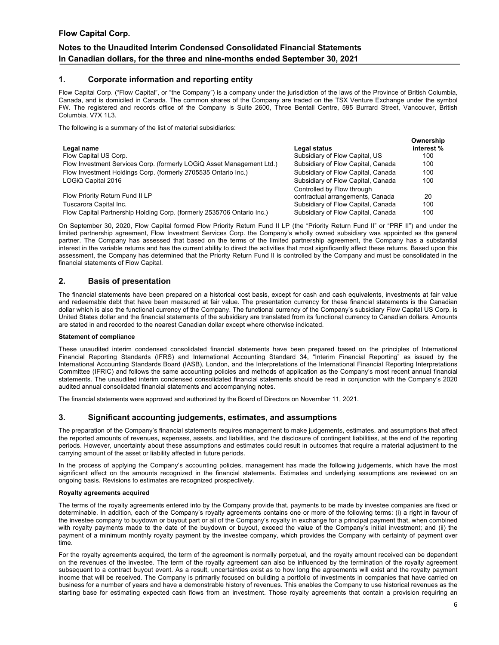# **Notes to the Unaudited Interim Condensed Consolidated Financial Statements In Canadian dollars, for the three and nine-months ended September 30, 2021**

### **1. Corporate information and reporting entity**

Flow Capital Corp. ("Flow Capital", or "the Company") is a company under the jurisdiction of the laws of the Province of British Columbia, Canada, and is domiciled in Canada. The common shares of the Company are traded on the TSX Venture Exchange under the symbol FW. The registered and records office of the Company is Suite 2600, Three Bentall Centre, 595 Burrard Street, Vancouver, British Columbia, V7X 1L3.

The following is a summary of the list of material subsidiaries:

|                                                                        |                                    | Ownership  |
|------------------------------------------------------------------------|------------------------------------|------------|
| Legal name                                                             | Legal status                       | interest % |
| Flow Capital US Corp.                                                  | Subsidiary of Flow Capital, US     | 100        |
| Flow Investment Services Corp. (formerly LOGiQ Asset Management Ltd.)  | Subsidiary of Flow Capital, Canada | 100        |
| Flow Investment Holdings Corp. (formerly 2705535 Ontario Inc.)         | Subsidiary of Flow Capital, Canada | 100        |
| LOGIQ Capital 2016                                                     | Subsidiary of Flow Capital, Canada | 100        |
|                                                                        | Controlled by Flow through         |            |
| Flow Priority Return Fund II LP                                        | contractual arrangements, Canada   | 20         |
| Tuscarora Capital Inc.                                                 | Subsidiary of Flow Capital, Canada | 100        |
| Flow Capital Partnership Holding Corp. (formerly 2535706 Ontario Inc.) | Subsidiary of Flow Capital, Canada | 100        |

On September 30, 2020, Flow Capital formed Flow Priority Return Fund II LP (the "Priority Return Fund II" or "PRF II") and under the limited partnership agreement, Flow Investment Services Corp. the Company's wholly owned subsidiary was appointed as the general partner. The Company has assessed that based on the terms of the limited partnership agreement, the Company has a substantial interest in the variable returns and has the current ability to direct the activities that most significantly affect these returns. Based upon this assessment, the Company has determined that the Priority Return Fund II is controlled by the Company and must be consolidated in the financial statements of Flow Capital.

### **2. Basis of presentation**

The financial statements have been prepared on a historical cost basis, except for cash and cash equivalents, investments at fair value and redeemable debt that have been measured at fair value. The presentation currency for these financial statements is the Canadian dollar which is also the functional currency of the Company. The functional currency of the Company's subsidiary Flow Capital US Corp. is United States dollar and the financial statements of the subsidiary are translated from its functional currency to Canadian dollars. Amounts are stated in and recorded to the nearest Canadian dollar except where otherwise indicated.

#### **Statement of compliance**

These unaudited interim condensed consolidated financial statements have been prepared based on the principles of International Financial Reporting Standards (IFRS) and International Accounting Standard 34, "Interim Financial Reporting" as issued by the International Accounting Standards Board (IASB), London, and the Interpretations of the International Financial Reporting Interpretations Committee (IFRIC) and follows the same accounting policies and methods of application as the Company's most recent annual financial statements. The unaudited interim condensed consolidated financial statements should be read in conjunction with the Company's 2020 audited annual consolidated financial statements and accompanying notes.

The financial statements were approved and authorized by the Board of Directors on November 11, 2021.

### **3. Significant accounting judgements, estimates, and assumptions**

The preparation of the Company's financial statements requires management to make judgements, estimates, and assumptions that affect the reported amounts of revenues, expenses, assets, and liabilities, and the disclosure of contingent liabilities, at the end of the reporting periods. However, uncertainty about these assumptions and estimates could result in outcomes that require a material adjustment to the carrying amount of the asset or liability affected in future periods.

In the process of applying the Company's accounting policies, management has made the following judgements, which have the most significant effect on the amounts recognized in the financial statements. Estimates and underlying assumptions are reviewed on an ongoing basis. Revisions to estimates are recognized prospectively.

#### **Royalty agreements acquired**

The terms of the royalty agreements entered into by the Company provide that, payments to be made by investee companies are fixed or determinable. In addition, each of the Company's royalty agreements contains one or more of the following terms: (i) a right in favour of the investee company to buydown or buyout part or all of the Company's royalty in exchange for a principal payment that, when combined with royalty payments made to the date of the buydown or buyout, exceed the value of the Company's initial investment; and (ii) the payment of a minimum monthly royalty payment by the investee company, which provides the Company with certainty of payment over time.

For the royalty agreements acquired, the term of the agreement is normally perpetual, and the royalty amount received can be dependent on the revenues of the investee. The term of the royalty agreement can also be influenced by the termination of the royalty agreement subsequent to a contract buyout event. As a result, uncertainties exist as to how long the agreements will exist and the royalty payment income that will be received. The Company is primarily focused on building a portfolio of investments in companies that have carried on business for a number of years and have a demonstrable history of revenues. This enables the Company to use historical revenues as the starting base for estimating expected cash flows from an investment. Those royalty agreements that contain a provision requiring an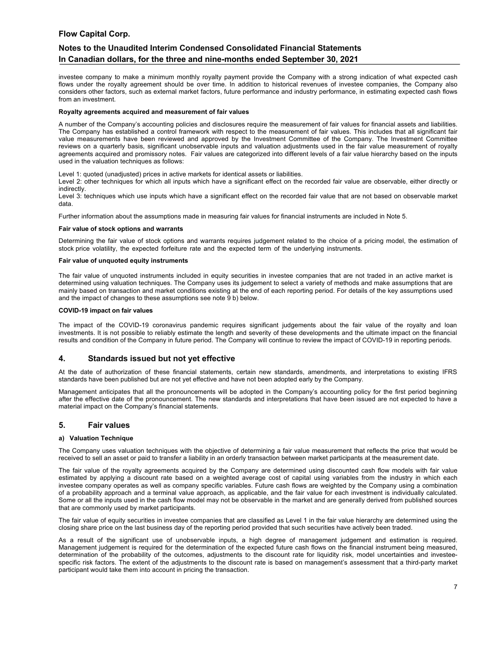# **Notes to the Unaudited Interim Condensed Consolidated Financial Statements In Canadian dollars, for the three and nine-months ended September 30, 2021**

investee company to make a minimum monthly royalty payment provide the Company with a strong indication of what expected cash flows under the royalty agreement should be over time. In addition to historical revenues of investee companies, the Company also considers other factors, such as external market factors, future performance and industry performance, in estimating expected cash flows from an investment.

#### **Royalty agreements acquired and measurement of fair values**

A number of the Company's accounting policies and disclosures require the measurement of fair values for financial assets and liabilities. The Company has established a control framework with respect to the measurement of fair values. This includes that all significant fair value measurements have been reviewed and approved by the Investment Committee of the Company. The Investment Committee reviews on a quarterly basis, significant unobservable inputs and valuation adjustments used in the fair value measurement of royalty agreements acquired and promissory notes. Fair values are categorized into different levels of a fair value hierarchy based on the inputs used in the valuation techniques as follows:

Level 1: quoted (unadjusted) prices in active markets for identical assets or liabilities.

Level 2: other techniques for which all inputs which have a significant effect on the recorded fair value are observable, either directly or indirectly.

Level 3: techniques which use inputs which have a significant effect on the recorded fair value that are not based on observable market data.

Further information about the assumptions made in measuring fair values for financial instruments are included in Note 5.

#### **Fair value of stock options and warrants**

Determining the fair value of stock options and warrants requires judgement related to the choice of a pricing model, the estimation of stock price volatility, the expected forfeiture rate and the expected term of the underlying instruments.

#### **Fair value of unquoted equity instruments**

The fair value of unquoted instruments included in equity securities in investee companies that are not traded in an active market is determined using valuation techniques. The Company uses its judgement to select a variety of methods and make assumptions that are mainly based on transaction and market conditions existing at the end of each reporting period. For details of the key assumptions used and the impact of changes to these assumptions see note 9 b) below.

#### **COVID-19 impact on fair values**

The impact of the COVID-19 coronavirus pandemic requires significant judgements about the fair value of the royalty and loan investments. It is not possible to reliably estimate the length and severity of these developments and the ultimate impact on the financial results and condition of the Company in future period. The Company will continue to review the impact of COVID-19 in reporting periods.

### **4. Standards issued but not yet effective**

At the date of authorization of these financial statements, certain new standards, amendments, and interpretations to existing IFRS standards have been published but are not yet effective and have not been adopted early by the Company.

Management anticipates that all the pronouncements will be adopted in the Company's accounting policy for the first period beginning after the effective date of the pronouncement. The new standards and interpretations that have been issued are not expected to have a material impact on the Company's financial statements.

### **5. Fair values**

#### **a) Valuation Technique**

The Company uses valuation techniques with the objective of determining a fair value measurement that reflects the price that would be received to sell an asset or paid to transfer a liability in an orderly transaction between market participants at the measurement date.

The fair value of the royalty agreements acquired by the Company are determined using discounted cash flow models with fair value estimated by applying a discount rate based on a weighted average cost of capital using variables from the industry in which each investee company operates as well as company specific variables. Future cash flows are weighted by the Company using a combination of a probability approach and a terminal value approach, as applicable, and the fair value for each investment is individually calculated. Some or all the inputs used in the cash flow model may not be observable in the market and are generally derived from published sources that are commonly used by market participants.

The fair value of equity securities in investee companies that are classified as Level 1 in the fair value hierarchy are determined using the closing share price on the last business day of the reporting period provided that such securities have actively been traded.

As a result of the significant use of unobservable inputs, a high degree of management judgement and estimation is required. Management judgement is required for the determination of the expected future cash flows on the financial instrument being measured, determination of the probability of the outcomes, adjustments to the discount rate for liquidity risk, model uncertainties and investeespecific risk factors. The extent of the adjustments to the discount rate is based on management's assessment that a third-party market participant would take them into account in pricing the transaction.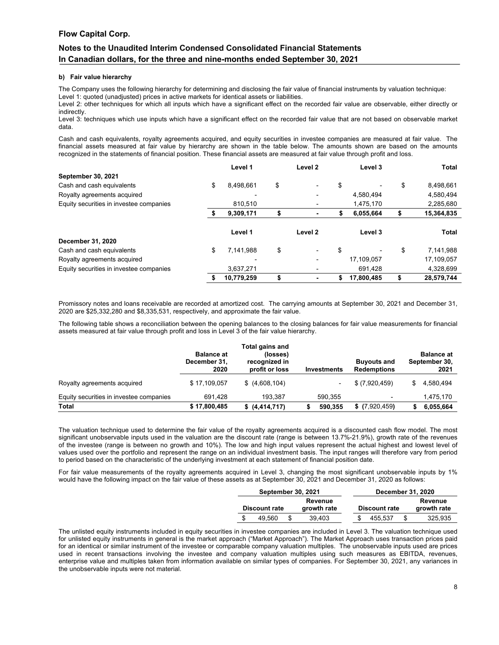# **Notes to the Unaudited Interim Condensed Consolidated Financial Statements In Canadian dollars, for the three and nine-months ended September 30, 2021**

#### **b) Fair value hierarchy**

The Company uses the following hierarchy for determining and disclosing the fair value of financial instruments by valuation technique: Level 1: quoted (unadjusted) prices in active markets for identical assets or liabilities.

Level 2: other techniques for which all inputs which have a significant effect on the recorded fair value are observable, either directly or indirectly.

Level 3: techniques which use inputs which have a significant effect on the recorded fair value that are not based on observable market data.

Cash and cash equivalents, royalty agreements acquired, and equity securities in investee companies are measured at fair value. The financial assets measured at fair value by hierarchy are shown in the table below. The amounts shown are based on the amounts recognized in the statements of financial position. These financial assets are measured at fair value through profit and loss.

|                                         | Level 1         | Level <sub>2</sub>             | Level 3          | Total            |
|-----------------------------------------|-----------------|--------------------------------|------------------|------------------|
| <b>September 30, 2021</b>               |                 |                                |                  |                  |
| Cash and cash equivalents               | \$<br>8,498,661 | \$<br>٠                        | \$               | \$<br>8,498,661  |
| Royalty agreements acquired             |                 |                                | 4,580,494        | 4,580,494        |
| Equity securities in investee companies | 810.510         |                                | 1,475,170        | 2,285,680        |
|                                         | 9,309,171       | ۰                              | \$<br>6,055,664  | \$<br>15,364,835 |
|                                         | Level 1         | Level <sub>2</sub>             | Level 3          | <b>Total</b>     |
| December 31, 2020                       |                 |                                |                  |                  |
| Cash and cash equivalents               | \$<br>7,141,988 | \$<br>$\overline{\phantom{a}}$ | \$               | \$<br>7,141,988  |
| Royalty agreements acquired             |                 |                                | 17,109,057       | 17,109,057       |
| Equity securities in investee companies | 3,637,271       |                                | 691,428          | 4,328,699        |
|                                         | 10,779,259      | ٠                              | \$<br>17.800.485 | 28,579,744       |

Promissory notes and loans receivable are recorded at amortized cost. The carrying amounts at September 30, 2021 and December 31, 2020 are \$25,332,280 and \$8,335,531, respectively, and approximate the fair value.

The following table shows a reconciliation between the opening balances to the closing balances for fair value measurements for financial assets measured at fair value through profit and loss in Level 3 of the fair value hierarchy.

|                                         | <b>Balance at</b><br>December 31.<br>2020 | Total gains and<br>(losses)<br>recognized in<br>profit or loss | <b>Investments</b> | <b>Buyouts and</b><br><b>Redemptions</b> | <b>Balance at</b><br>September 30,<br>2021 |  |  |
|-----------------------------------------|-------------------------------------------|----------------------------------------------------------------|--------------------|------------------------------------------|--------------------------------------------|--|--|
| Royalty agreements acquired             | \$17,109,057                              | \$(4,608,104)                                                  |                    | \$ (7,920,459)                           | 4.580.494                                  |  |  |
| Equity securities in investee companies | 691.428                                   | 193.387                                                        | 590.355            |                                          | 1,475,170                                  |  |  |
| <b>Total</b>                            | \$17,800,485                              | \$ (4,414,717)                                                 | 590,355            | $$$ (7,920,459)                          | 6,055,664                                  |  |  |

The valuation technique used to determine the fair value of the royalty agreements acquired is a discounted cash flow model. The most significant unobservable inputs used in the valuation are the discount rate (range is between 13.7%-21.9%), growth rate of the revenues of the investee (range is between no growth and 10%). The low and high input values represent the actual highest and lowest level of values used over the portfolio and represent the range on an individual investment basis. The input ranges will therefore vary from period to period based on the characteristic of the underlying investment at each statement of financial position date.

For fair value measurements of the royalty agreements acquired in Level 3, changing the most significant unobservable inputs by 1% would have the following impact on the fair value of these assets as at September 30, 2021 and December 31, 2020 as follows:

|         | September 30, 2021   |   |             | <b>December 31, 2020</b> |  |                      |  |             |
|---------|----------------------|---|-------------|--------------------------|--|----------------------|--|-------------|
| Revenue |                      |   |             |                          |  |                      |  | Revenue     |
|         | <b>Discount rate</b> |   | growth rate |                          |  | <b>Discount rate</b> |  | growth rate |
| S       | 49.560               | S | 39.403      |                          |  | 455.537              |  | 325.935     |

The unlisted equity instruments included in equity securities in investee companies are included in Level 3. The valuation technique used for unlisted equity instruments in general is the market approach ("Market Approach"). The Market Approach uses transaction prices paid for an identical or similar instrument of the investee or comparable company valuation multiples. The unobservable inputs used are prices used in recent transactions involving the investee and company valuation multiples using such measures as EBITDA, revenues, enterprise value and multiples taken from information available on similar types of companies. For September 30, 2021, any variances in the unobservable inputs were not material.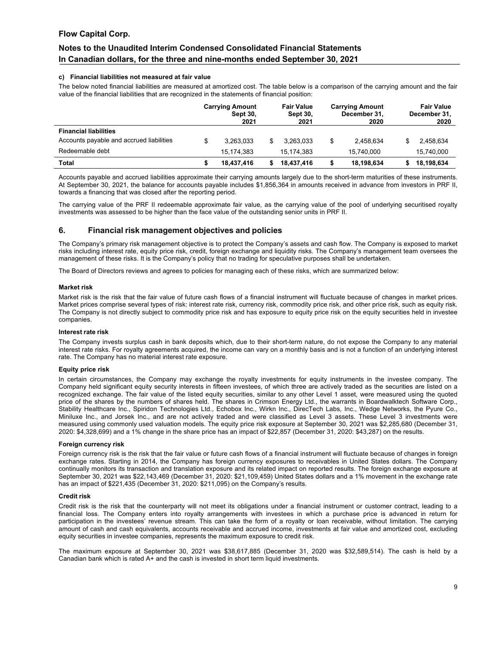# **Notes to the Unaudited Interim Condensed Consolidated Financial Statements In Canadian dollars, for the three and nine-months ended September 30, 2021**

#### **c) Financial liabilities not measured at fair value**

The below noted financial liabilities are measured at amortized cost. The table below is a comparison of the carrying amount and the fair value of the financial liabilities that are recognized in the statements of financial position:

|                                          | <b>Carrying Amount</b><br><b>Sept 30,</b><br>2021 |    | <b>Fair Value</b><br><b>Sept 30.</b><br>2021 | <b>Carrying Amount</b><br>December 31,<br>2020 | <b>Fair Value</b><br>December 31.<br>2020 |
|------------------------------------------|---------------------------------------------------|----|----------------------------------------------|------------------------------------------------|-------------------------------------------|
| <b>Financial liabilities</b>             |                                                   |    |                                              |                                                |                                           |
| Accounts payable and accrued liabilities | \$<br>3.263.033                                   | \$ | 3.263.033                                    | \$<br>2,458,634                                | 2.458.634                                 |
| Redeemable debt                          | 15.174.383                                        |    | 15.174.383                                   | 15.740.000                                     | 15,740,000                                |
| Total                                    | 18.437.416                                        | S  | 18,437,416                                   | 18,198,634                                     | 18,198,634                                |

Accounts payable and accrued liabilities approximate their carrying amounts largely due to the short-term maturities of these instruments. At September 30, 2021, the balance for accounts payable includes \$1,856,364 in amounts received in advance from investors in PRF II, towards a financing that was closed after the reporting period.

The carrying value of the PRF II redeemable approximate fair value, as the carrying value of the pool of underlying securitised royalty investments was assessed to be higher than the face value of the outstanding senior units in PRF II.

### **6. Financial risk management objectives and policies**

The Company's primary risk management objective is to protect the Company's assets and cash flow. The Company is exposed to market risks including interest rate, equity price risk, credit, foreign exchange and liquidity risks. The Company's management team oversees the management of these risks. It is the Company's policy that no trading for speculative purposes shall be undertaken.

The Board of Directors reviews and agrees to policies for managing each of these risks, which are summarized below:

#### **Market risk**

Market risk is the risk that the fair value of future cash flows of a financial instrument will fluctuate because of changes in market prices. Market prices comprise several types of risk: interest rate risk, currency risk, commodity price risk, and other price risk, such as equity risk. The Company is not directly subject to commodity price risk and has exposure to equity price risk on the equity securities held in investee companies.

#### **Interest rate risk**

The Company invests surplus cash in bank deposits which, due to their short-term nature, do not expose the Company to any material interest rate risks. For royalty agreements acquired, the income can vary on a monthly basis and is not a function of an underlying interest rate. The Company has no material interest rate exposure.

#### **Equity price risk**

In certain circumstances, the Company may exchange the royalty investments for equity instruments in the investee company. The Company held significant equity security interests in fifteen investees, of which three are actively traded as the securities are listed on a recognized exchange. The fair value of the listed equity securities, similar to any other Level 1 asset, were measured using the quoted price of the shares by the numbers of shares held. The shares in Crimson Energy Ltd., the warrants in Boardwalktech Software Corp., Stability Healthcare Inc., Spiridon Technologies Ltd., Echobox Inc., Wirkn Inc., DirecTech Labs, Inc., Wedge Networks, the Pyure Co., Miniluxe Inc., and Jorsek Inc., and are not actively traded and were classified as Level 3 assets. These Level 3 investments were measured using commonly used valuation models. The equity price risk exposure at September 30, 2021 was \$2,285,680 (December 31, 2020: \$4,328,699) and a 1% change in the share price has an impact of \$22,857 (December 31, 2020: \$43,287) on the results.

#### **Foreign currency risk**

Foreign currency risk is the risk that the fair value or future cash flows of a financial instrument will fluctuate because of changes in foreign exchange rates. Starting in 2014, the Company has foreign currency exposures to receivables in United States dollars. The Company continually monitors its transaction and translation exposure and its related impact on reported results. The foreign exchange exposure at September 30, 2021 was \$22,143,469 (December 31, 2020: \$21,109,459) United States dollars and a 1% movement in the exchange rate has an impact of \$221,435 (December 31, 2020: \$211,095) on the Company's results.

#### **Credit risk**

Credit risk is the risk that the counterparty will not meet its obligations under a financial instrument or customer contract, leading to a financial loss. The Company enters into royalty arrangements with investees in which a purchase price is advanced in return for participation in the investees' revenue stream. This can take the form of a royalty or loan receivable, without limitation. The carrying amount of cash and cash equivalents, accounts receivable and accrued income, investments at fair value and amortized cost, excluding equity securities in investee companies, represents the maximum exposure to credit risk.

The maximum exposure at September 30, 2021 was \$38,617,885 (December 31, 2020 was \$32,589,514). The cash is held by a Canadian bank which is rated A+ and the cash is invested in short term liquid investments.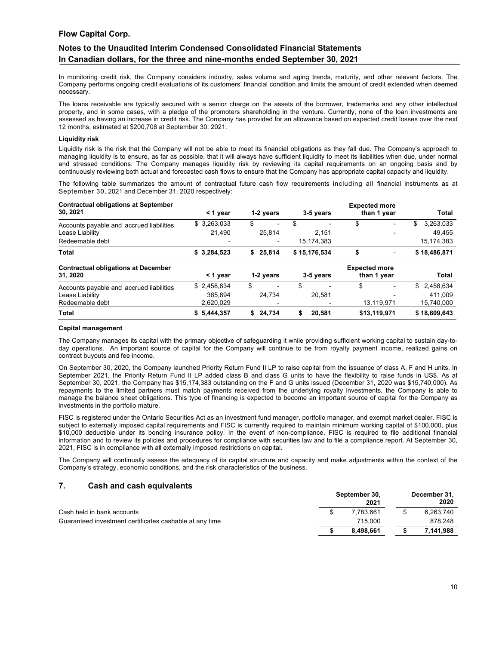# **Notes to the Unaudited Interim Condensed Consolidated Financial Statements In Canadian dollars, for the three and nine-months ended September 30, 2021**

In monitoring credit risk, the Company considers industry, sales volume and aging trends, maturity, and other relevant factors. The Company performs ongoing credit evaluations of its customers' financial condition and limits the amount of credit extended when deemed necessary.

The loans receivable are typically secured with a senior charge on the assets of the borrower, trademarks and any other intellectual property, and in some cases, with a pledge of the promoters shareholding in the venture. Currently, none of the loan investments are assessed as having an increase in credit risk. The Company has provided for an allowance based on expected credit losses over the next 12 months, estimated at \$200,708 at September 30, 2021.

#### **Liquidity risk**

Liquidity risk is the risk that the Company will not be able to meet its financial obligations as they fall due. The Company's approach to managing liquidity is to ensure, as far as possible, that it will always have sufficient liquidity to meet its liabilities when due, under normal and stressed conditions. The Company manages liquidity risk by reviewing its capital requirements on an ongoing basis and by continuously reviewing both actual and forecasted cash flows to ensure that the Company has appropriate capital capacity and liquidity.

The following table summarizes the amount of contractual future cash flow requirements including all financial instruments as at September 30, 2021 and December 31, 2020 respectively:

| <b>Contractual obligations at September</b><br>30, 2021 | $<$ 1 year  | 1-2 years                | 3-5 years    | <b>Expected more</b><br>than 1 year | <b>Total</b>    |
|---------------------------------------------------------|-------------|--------------------------|--------------|-------------------------------------|-----------------|
| Accounts payable and accrued liabilities                | \$3,263,033 | \$                       | \$           | \$<br>$\overline{\phantom{0}}$      | \$<br>3,263,033 |
| Lease Liability                                         | 21.490      | 25.814                   | 2.151        |                                     | 49.455          |
| Redeemable debt                                         |             | $\overline{\phantom{0}}$ | 15, 174, 383 |                                     | 15, 174, 383    |
| Total                                                   | \$3,284,523 | \$25.814                 | \$15,176,534 | \$                                  | \$18,486,871    |
| <b>Contractual obligations at December</b><br>31.2020   | $<$ 1 year  | 1-2 years                | 3-5 years    | <b>Expected more</b><br>than 1 year | Total           |
| Accounts payable and accrued liabilities                | \$2,458,634 | S                        |              |                                     | \$<br>2,458,634 |
| Lease Liability                                         | 365.694     | 24.734                   | 20.581       |                                     | 411.009         |
| Redeemable debt                                         | 2.620.029   | $\overline{\phantom{0}}$ |              | 13,119,971                          | 15,740,000      |
| Total                                                   | \$5.444.357 | \$24.734                 | 20.581<br>S  | \$13.119.971                        | \$18,609,643    |

#### **Capital management**

The Company manages its capital with the primary objective of safeguarding it while providing sufficient working capital to sustain day-today operations. An important source of capital for the Company will continue to be from royalty payment income, realized gains on contract buyouts and fee income.

On September 30, 2020, the Company launched Priority Return Fund II LP to raise capital from the issuance of class A, F and H units. In September 2021, the Priority Return Fund II LP added class B and class G units to have the flexibility to raise funds in US\$. As at September 30, 2021, the Company has \$15,174,383 outstanding on the F and G units issued (December 31, 2020 was \$15,740,000). As repayments to the limited partners must match payments received from the underlying royalty investments, the Company is able to manage the balance sheet obligations. This type of financing is expected to become an important source of capital for the Company as investments in the portfolio mature.

FISC is registered under the Ontario Securities Act as an investment fund manager, portfolio manager, and exempt market dealer. FISC is subject to externally imposed capital requirements and FISC is currently required to maintain minimum working capital of \$100,000, plus \$10,000 deductible under its bonding insurance policy. In the event of non-compliance, FISC is required to file additional financial information and to review its policies and procedures for compliance with securities law and to file a compliance report. At September 30, 2021, FISC is in compliance with all externally imposed restrictions on capital.

The Company will continually assess the adequacy of its capital structure and capacity and make adjustments within the context of the Company's strategy, economic conditions, and the risk characteristics of the business.

### **7. Cash and cash equivalents**

|                                                         | September 30,<br>2021 | December 31,<br>2020 |  |
|---------------------------------------------------------|-----------------------|----------------------|--|
| Cash held in bank accounts                              | 7.783.661             | 6,263,740            |  |
| Guaranteed investment certificates cashable at any time | 715.000               | 878.248              |  |
|                                                         | 8.498.661             | 7.141.988            |  |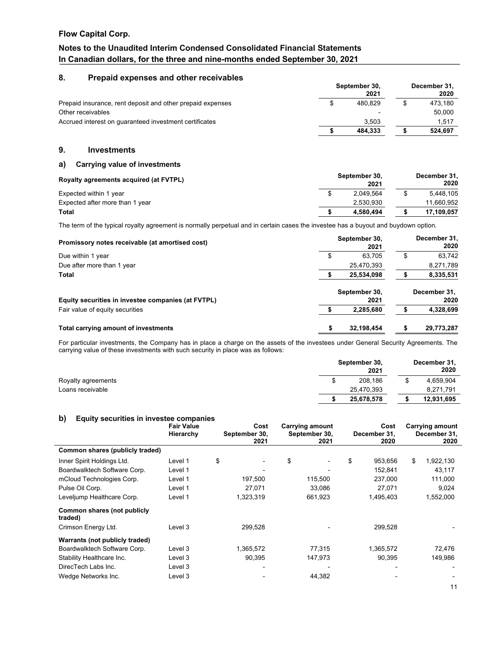# **Notes to the Unaudited Interim Condensed Consolidated Financial Statements In Canadian dollars, for the three and nine-months ended September 30, 2021**

### **8. Prepaid expenses and other receivables**

|                                                            | September 30,<br>2021 |       | December 31,<br>2020 |
|------------------------------------------------------------|-----------------------|-------|----------------------|
| Prepaid insurance, rent deposit and other prepaid expenses | 480.829               |       | 473.180              |
| Other receivables                                          |                       |       | 50.000               |
| Accrued interest on quaranteed investment certificates     | 3.503<br>484.333      | 1.517 |                      |
|                                                            |                       |       | 524.697              |

### **9. Investments**

### **a) Carrying value of investments**

| Royalty agreements acquired (at FVTPL) | September 30.<br>2021 | December 31,<br>2020 |
|----------------------------------------|-----------------------|----------------------|
| Expected within 1 year                 | 2.049.564             | 5.448.105            |
| Expected after more than 1 year        | 2.530.930             | 11.660.952           |
| Total                                  | 4.580.494             | 17.109.057           |

The term of the typical royalty agreement is normally perpetual and in certain cases the investee has a buyout and buydown option.

| Promissory notes receivable (at amortised cost)    | September 30,<br>2021 |   | December 31,<br>2020 |
|----------------------------------------------------|-----------------------|---|----------------------|
| Due within 1 year                                  | \$<br>63.705          | S | 63.742               |
| Due after more than 1 year                         | 25,470,393            |   | 8,271,789            |
| <b>Total</b>                                       | 25.534.098            |   | 8,335,531            |
|                                                    | September 30,         |   | December 31.         |
| Equity securities in investee companies (at FVTPL) | 2021                  |   | 2020                 |
| Fair value of equity securities                    | 2,285,680             |   | 4,328,699            |
| Total carrying amount of investments               | \$<br>32,198,454      |   | 29,773,287           |

For particular investments, the Company has in place a charge on the assets of the investees under General Security Agreements. The carrying value of these investments with such security in place was as follows:

|                    | September 30,<br>2021 | December 31,<br>2020 |
|--------------------|-----------------------|----------------------|
| Royalty agreements | 208.186               | 4,659,904            |
| Loans receivable   | 25,470,393            | 8,271,791            |
|                    | 25,678,578            | 12,931,695           |

# **b) Equity securities in investee companies**

| — 1 <b>…</b>                           | <b>Fair Value</b><br>Hierarchy | Cost<br>September 30,<br>2021 | <b>Carrying amount</b><br>September 30,<br>2021 | Cost<br>December 31.<br>2020 | <b>Carrying amount</b><br>December 31,<br>2020 |
|----------------------------------------|--------------------------------|-------------------------------|-------------------------------------------------|------------------------------|------------------------------------------------|
| Common shares (publicly traded)        |                                |                               |                                                 |                              |                                                |
| Inner Spirit Holdings Ltd.             | Level 1                        | \$                            | \$                                              | \$<br>953,656                | \$<br>1,922,130                                |
| Boardwalktech Software Corp.           | Level 1                        |                               |                                                 | 152,841                      | 43,117                                         |
| mCloud Technologies Corp.              | Level 1                        | 197,500                       | 115,500                                         | 237,000                      | 111,000                                        |
| Pulse Oil Corp.                        | Level 1                        | 27,071                        | 33,086                                          | 27,071                       | 9,024                                          |
| Leveljump Healthcare Corp.             | Level 1                        | 1,323,319                     | 661,923                                         | 1,495,403                    | 1,552,000                                      |
| Common shares (not publicly<br>traded) |                                |                               |                                                 |                              |                                                |
| Crimson Energy Ltd.                    | Level 3                        | 299,528                       |                                                 | 299,528                      |                                                |
| Warrants (not publicly traded)         |                                |                               |                                                 |                              |                                                |
| Boardwalktech Software Corp.           | Level 3                        | 1,365,572                     | 77,315                                          | 1,365,572                    | 72,476                                         |
| Stability Healthcare Inc.              | Level 3                        | 90,395                        | 147,973                                         | 90.395                       | 149,986                                        |
| DirecTech Labs Inc.                    | Level 3                        |                               |                                                 |                              |                                                |
| Wedge Networks Inc.                    | Level 3                        |                               | 44,382                                          |                              |                                                |
|                                        |                                |                               |                                                 |                              | 11                                             |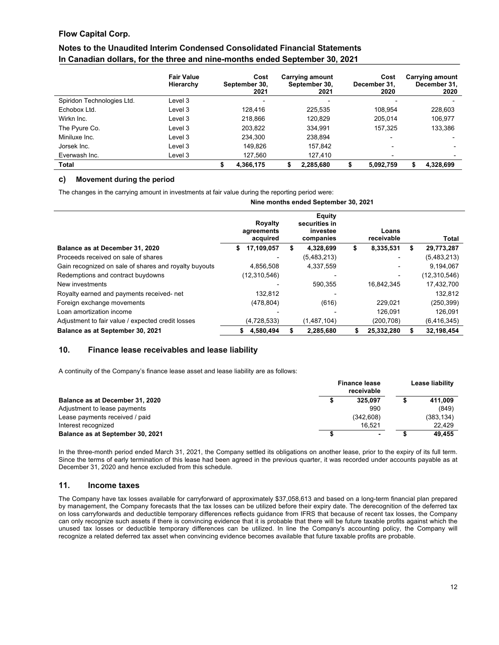# **Notes to the Unaudited Interim Condensed Consolidated Financial Statements In Canadian dollars, for the three and nine-months ended September 30, 2021**

|                            | <b>Fair Value</b><br>Hierarchy |   | Cost<br>September 30,<br>2021 |   | <b>Carrying amount</b><br>September 30,<br>2021 |   | Cost<br>December 31,<br>2020 |   | <b>Carrying amount</b><br>December 31,<br>2020 |
|----------------------------|--------------------------------|---|-------------------------------|---|-------------------------------------------------|---|------------------------------|---|------------------------------------------------|
| Spiridon Technologies Ltd. | Level 3                        |   | ٠                             |   | $\overline{\phantom{a}}$                        |   |                              |   |                                                |
| Echobox Ltd.               | Level 3                        |   | 128.416                       |   | 225,535                                         |   | 108.954                      |   | 228,603                                        |
| Wirkn Inc.                 | Level 3                        |   | 218.866                       |   | 120.829                                         |   | 205.014                      |   | 106.977                                        |
| The Pyure Co.              | Level 3                        |   | 203.822                       |   | 334.991                                         |   | 157.325                      |   | 133,386                                        |
| Miniluxe Inc.              | Level 3                        |   | 234.300                       |   | 238.894                                         |   |                              |   |                                                |
| Jorsek Inc.                | Level 3                        |   | 149.826                       |   | 157.842                                         |   | $\overline{\phantom{0}}$     |   |                                                |
| Everwash Inc.              | Level 3                        |   | 127.560                       |   | 127.410                                         |   | ٠                            |   |                                                |
| Total                      |                                | S | 4.366.175                     | S | 2.285.680                                       | S | 5,092,759                    | S | 4.328.699                                      |

### **c) Movement during the period**

The changes in the carrying amount in investments at fair value during the reporting period were:

|                                                       |                                          | Nine months ended September 30, 2021             |    |                     |                  |
|-------------------------------------------------------|------------------------------------------|--------------------------------------------------|----|---------------------|------------------|
|                                                       | <b>Royalty</b><br>agreements<br>acquired | Equity<br>securities in<br>investee<br>companies |    | Loans<br>receivable | Total            |
| Balance as at December 31, 2020                       | 17,109,057<br>S.                         | 4,328,699                                        | \$ | 8,335,531           | \$<br>29,773,287 |
| Proceeds received on sale of shares                   |                                          | (5,483,213)                                      |    |                     | (5,483,213)      |
| Gain recognized on sale of shares and royalty buyouts | 4,856,508                                | 4,337,559                                        |    |                     | 9,194,067        |
| Redemptions and contract buydowns                     | (12,310,546)                             |                                                  |    |                     | (12,310,546)     |
| New investments                                       |                                          | 590.355                                          |    | 16,842,345          | 17,432,700       |
| Royalty earned and payments received- net             | 132,812                                  |                                                  |    |                     | 132,812          |
| Foreign exchange movements                            | (478, 804)                               | (616)                                            |    | 229,021             | (250, 399)       |
| Loan amortization income                              |                                          |                                                  |    | 126.091             | 126,091          |
| Adjustment to fair value / expected credit losses     | (4,728,533)                              | (1,487,104)                                      |    | (200, 708)          | (6, 416, 345)    |
| Balance as at September 30, 2021                      | 4.580.494<br>S.                          | 2.285.680                                        | S  | 25.332.280          | 32.198.454       |

# **10. Finance lease receivables and lease liability**

A continuity of the Company's finance lease asset and lease liability are as follows:

|                                  | <b>Finance lease</b><br>receivable | Lease liability |  |  |
|----------------------------------|------------------------------------|-----------------|--|--|
| Balance as at December 31, 2020  | 325.097                            | 411.009         |  |  |
| Adjustment to lease payments     | 990                                | (849)           |  |  |
| Lease payments received / paid   | (342.608)                          | (383,134)       |  |  |
| Interest recognized              | 16.521                             | 22.429          |  |  |
| Balance as at September 30, 2021 |                                    | 49.455          |  |  |

In the three-month period ended March 31, 2021, the Company settled its obligations on another lease, prior to the expiry of its full term. Since the terms of early termination of this lease had been agreed in the previous quarter, it was recorded under accounts payable as at December 31, 2020 and hence excluded from this schedule.

### **11. Income taxes**

The Company have tax losses available for carryforward of approximately \$37,058,613 and based on a long-term financial plan prepared by management, the Company forecasts that the tax losses can be utilized before their expiry date. The derecognition of the deferred tax on loss carryforwards and deductible temporary differences reflects guidance from IFRS that because of recent tax losses, the Company can only recognize such assets if there is convincing evidence that it is probable that there will be future taxable profits against which the unused tax losses or deductible temporary differences can be utilized. In line the Company's accounting policy, the Company will recognize a related deferred tax asset when convincing evidence becomes available that future taxable profits are probable.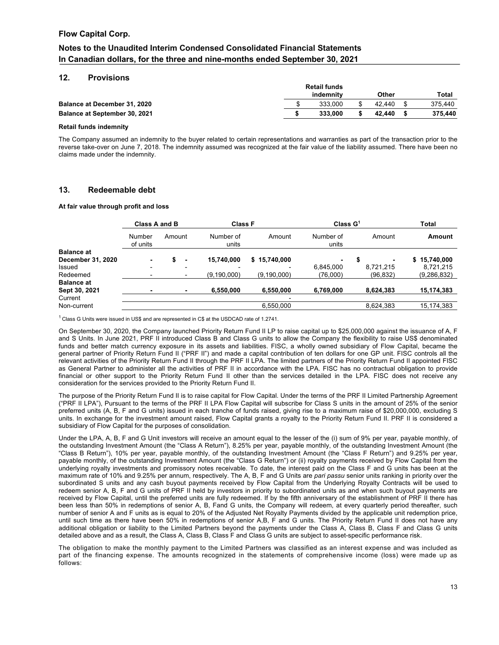# **Notes to the Unaudited Interim Condensed Consolidated Financial Statements In Canadian dollars, for the three and nine-months ended September 30, 2021**

#### **12. Provisions**

|                                      | <b>Retail funds</b> |           |        |  |         |
|--------------------------------------|---------------------|-----------|--------|--|---------|
|                                      |                     | indemnity | Other  |  | Total   |
| <b>Balance at December 31, 2020</b>  |                     | 333,000   | 42.440 |  | 375.440 |
| <b>Balance at September 30, 2021</b> |                     | 333.000   | 42.440 |  | 375.440 |
|                                      |                     |           |        |  |         |

#### **Retail funds indemnity**

The Company assumed an indemnity to the buyer related to certain representations and warranties as part of the transaction prior to the reverse take-over on June 7, 2018. The indemnity assumed was recognized at the fair value of the liability assumed. There have been no claims made under the indemnity.

### **13. Redeemable debt**

#### **At fair value through profit and loss**

|                   | Class A and B            |                | <b>Class F</b>     |               | Class $G1$         |           | <b>Total</b>  |
|-------------------|--------------------------|----------------|--------------------|---------------|--------------------|-----------|---------------|
|                   | Number<br>of units       | Amount         | Number of<br>units | Amount        | Number of<br>units | Amount    | Amount        |
| <b>Balance at</b> |                          |                |                    |               |                    |           |               |
| December 31, 2020 | $\blacksquare$           | $\blacksquare$ | 15.740.000         | \$15,740,000  | $\blacksquare$     |           | \$15,740,000  |
| Issued            | $\overline{\phantom{0}}$ | -              |                    |               | 6,845,000          | 8.721.215 | 8.721.215     |
| Redeemed          |                          |                | (9, 190, 000)      | (9, 190, 000) | (76,000)           | (96, 832) | (9, 286, 832) |
| <b>Balance at</b> |                          |                |                    |               |                    |           |               |
| Sept 30, 2021     | ۰                        | ۰              | 6,550,000          | 6,550,000     | 6,769,000          | 8,624,383 | 15,174,383    |
| Current           |                          |                |                    |               |                    |           |               |
| Non-current       |                          |                |                    | 6,550,000     |                    | 8,624,383 | 15,174,383    |
|                   |                          |                |                    |               |                    |           |               |

<sup>1</sup> Class G Units were issued in US\$ and are represented in C\$ at the USDCAD rate of 1.2741.

On September 30, 2020, the Company launched Priority Return Fund II LP to raise capital up to \$25,000,000 against the issuance of A, F and S Units. In June 2021, PRF II introduced Class B and Class G units to allow the Company the flexibility to raise US\$ denominated funds and better match currency exposure in its assets and liabilities. FISC, a wholly owned subsidiary of Flow Capital, became the general partner of Priority Return Fund II ("PRF II") and made a capital contribution of ten dollars for one GP unit. FISC controls all the relevant activities of the Priority Return Fund II through the PRF II LPA. The limited partners of the Priority Return Fund II appointed FISC as General Partner to administer all the activities of PRF II in accordance with the LPA. FISC has no contractual obligation to provide financial or other support to the Priority Return Fund II other than the services detailed in the LPA. FISC does not receive any consideration for the services provided to the Priority Return Fund II.

The purpose of the Priority Return Fund II is to raise capital for Flow Capital. Under the terms of the PRF II Limited Partnership Agreement ("PRF II LPA"), Pursuant to the terms of the PRF II LPA Flow Capital will subscribe for Class S units in the amount of 25% of the senior preferred units (A, B, F and G units) issued in each tranche of funds raised, giving rise to a maximum raise of \$20,000,000, excluding S units. In exchange for the investment amount raised, Flow Capital grants a royalty to the Priority Return Fund II. PRF II is considered a subsidiary of Flow Capital for the purposes of consolidation.

Under the LPA, A, B, F and G Unit investors will receive an amount equal to the lesser of the (i) sum of 9% per year, payable monthly, of the outstanding Investment Amount (the "Class A Return"), 8.25% per year, payable monthly, of the outstanding Investment Amount (the "Class B Return"), 10% per year, payable monthly, of the outstanding Investment Amount (the "Class F Return") and 9.25% per year, payable monthly, of the outstanding Investment Amount (the "Class G Return") or (ii) royalty payments received by Flow Capital from the underlying royalty investments and promissory notes receivable. To date, the interest paid on the Class F and G units has been at the maximum rate of 10% and 9.25% per annum, respectively. The A, B, F and G Units are *pari passu* senior units ranking in priority over the subordinated S units and any cash buyout payments received by Flow Capital from the Underlying Royalty Contracts will be used to redeem senior A, B, F and G units of PRF II held by investors in priority to subordinated units as and when such buyout payments are received by Flow Capital, until the preferred units are fully redeemed. If by the fifth anniversary of the establishment of PRF II there has been less than 50% in redemptions of senior A, B, Fand G units, the Company will redeem, at every quarterly period thereafter, such number of senior A and F units as is equal to 20% of the Adjusted Net Royalty Payments divided by the applicable unit redemption price, until such time as there have been 50% in redemptions of senior A,B, F and G units. The Priority Return Fund II does not have any additional obligation or liability to the Limited Partners beyond the payments under the Class A, Class B, Class F and Class G units detailed above and as a result, the Class A, Class B, Class F and Class G units are subject to asset-specific performance risk.

The obligation to make the monthly payment to the Limited Partners was classified as an interest expense and was included as part of the financing expense. The amounts recognized in the statements of comprehensive income (loss) were made up as follows: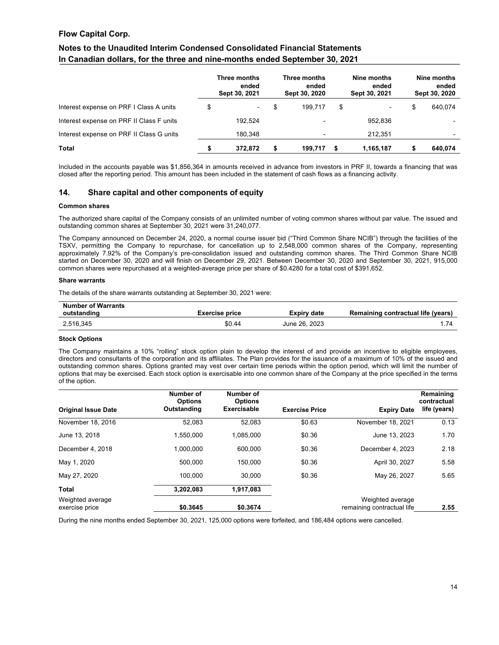# **Notes to the Unaudited Interim Condensed Consolidated Financial Statements In Canadian dollars, for the three and nine-months ended September 30, 2021**

|                                          | Three months<br>ended<br>Sept 30, 2021 |    | Three months<br>ended<br>Sept 30, 2020 |    | Nine months<br>ended<br>Sept 30, 2021 |    | Nine months<br>ended<br>Sept 30, 2020 |
|------------------------------------------|----------------------------------------|----|----------------------------------------|----|---------------------------------------|----|---------------------------------------|
| Interest expense on PRF I Class A units  | \$<br>$\overline{\phantom{a}}$         | S  | 199.717                                | \$ | ۰.                                    | \$ | 640,074                               |
| Interest expense on PRF II Class F units | 192.524                                |    | $\overline{\phantom{0}}$               |    | 952.836                               |    |                                       |
| Interest expense on PRF II Class G units | 180.348                                |    | $\overline{\phantom{0}}$               |    | 212.351                               |    |                                       |
| <b>Total</b>                             | \$<br>372.872                          | \$ | 199.717                                | -S | 1,165,187                             | S  | 640,074                               |

Included in the accounts payable was \$1,856,364 in amounts received in advance from investors in PRF II, towards a financing that was closed after the reporting period. This amount has been included in the statement of cash flows as a financing activity.

### **14. Share capital and other components of equity**

#### **Common shares**

The authorized share capital of the Company consists of an unlimited number of voting common shares without par value. The issued and outstanding common shares at September 30, 2021 were 31,240,077.

The Company announced on December 24, 2020, a normal course issuer bid ("Third Common Share NCIB") through the facilities of the TSXV, permitting the Company to repurchase, for cancellation up to 2,548,000 common shares of the Company, representing approximately 7.92% of the Company's pre-consolidation issued and outstanding common shares. The Third Common Share NCIB started on December 30, 2020 and will finish on December 29, 2021. Between December 30, 2020 and September 30, 2021, 915,000 common shares were repurchased at a weighted-average price per share of \$0.4280 for a total cost of \$391,652.

#### **Share warrants**

The details of the share warrants outstanding at September 30, 2021 were:

| <b>Number of Warrants</b> |                       |               |                                    |
|---------------------------|-----------------------|---------------|------------------------------------|
| outstanding               | <b>Exercise price</b> | Expiry date   | Remaining contractual life (years) |
| 2.516.345                 | \$0.44                | June 26, 2023 |                                    |

#### **Stock Options**

The Company maintains a 10% "rolling" stock option plain to develop the interest of and provide an incentive to eligible employees, directors and consultants of the corporation and its affiliates. The Plan provides for the issuance of a maximum of 10% of the issued and outstanding common shares. Options granted may vest over certain time periods within the option period, which will limit the number of options that may be exercised. Each stock option is exercisable into one common share of the Company at the price specified in the terms of the option.

|                            | Number of<br><b>Options</b> | Number of<br><b>Options</b> |                       |                            | Remaining<br>contractual |
|----------------------------|-----------------------------|-----------------------------|-----------------------|----------------------------|--------------------------|
| <b>Original Issue Date</b> | Outstanding                 | Exercisable                 | <b>Exercise Price</b> | <b>Expiry Date</b>         | life (years)             |
| November 18, 2016          | 52.083                      | 52.083                      | \$0.63                | November 18, 2021          | 0.13                     |
| June 13, 2018              | 1.550.000                   | 1.085.000                   | \$0.36                | June 13, 2023              | 1.70                     |
| December 4, 2018           | 1.000.000                   | 600.000                     | \$0.36                | December 4, 2023           | 2.18                     |
| May 1, 2020                | 500.000                     | 150,000                     | \$0.36                | April 30, 2027             | 5.58                     |
| May 27, 2020               | 100.000                     | 30.000                      | \$0.36                | May 26, 2027               | 5.65                     |
| Total                      | 3,202,083                   | 1,917,083                   |                       |                            |                          |
| Weighted average           |                             |                             |                       | Weighted average           |                          |
| exercise price             | \$0.3645                    | \$0.3674                    |                       | remaining contractual life | 2.55                     |

During the nine months ended September 30, 2021, 125,000 options were forfeited, and 186,484 options were cancelled.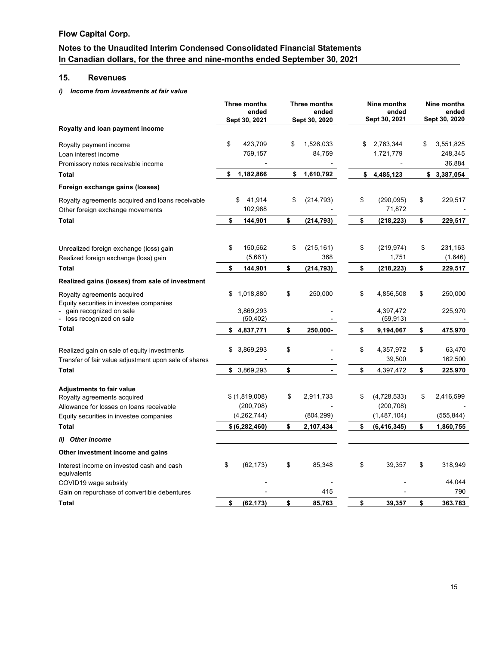# **Notes to the Unaudited Interim Condensed Consolidated Financial Statements In Canadian dollars, for the three and nine-months ended September 30, 2021**

# **15. Revenues**

### *i) Income from investments at fair value*

|                                                                                  |    | <b>Three months</b><br>ended<br>Sept 30, 2021 |    | Three months<br>ended<br>Sept 30, 2020 |    | Nine months<br>ended<br>Sept 30, 2021 |    | Nine months<br>ended<br>Sept 30, 2020 |  |
|----------------------------------------------------------------------------------|----|-----------------------------------------------|----|----------------------------------------|----|---------------------------------------|----|---------------------------------------|--|
| Royalty and loan payment income                                                  |    |                                               |    |                                        |    |                                       |    |                                       |  |
| Royalty payment income                                                           | \$ | 423,709                                       | \$ | 1,526,033                              | \$ | 2,763,344                             | \$ | 3,551,825                             |  |
| Loan interest income                                                             |    | 759,157                                       |    | 84,759                                 |    | 1,721,779                             |    | 248,345                               |  |
| Promissory notes receivable income                                               |    |                                               |    |                                        |    |                                       |    | 36,884                                |  |
| <b>Total</b>                                                                     | \$ | 1,182,866                                     | \$ | 1,610,792                              | \$ | 4,485,123                             |    | \$3,387,054                           |  |
| Foreign exchange gains (losses)                                                  |    |                                               |    |                                        |    |                                       |    |                                       |  |
| Royalty agreements acquired and loans receivable                                 |    | 41,914<br>S                                   | \$ | (214, 793)                             | \$ | (290, 095)                            | \$ | 229,517                               |  |
| Other foreign exchange movements                                                 |    | 102,988                                       |    |                                        |    | 71,872                                |    |                                       |  |
| Total                                                                            | \$ | 144,901                                       | \$ | (214, 793)                             | \$ | (218, 223)                            | \$ | 229,517                               |  |
|                                                                                  | \$ | 150,562                                       | \$ | (215, 161)                             | \$ | (219, 974)                            | \$ | 231,163                               |  |
| Unrealized foreign exchange (loss) gain<br>Realized foreign exchange (loss) gain |    | (5,661)                                       |    | 368                                    |    | 1,751                                 |    | (1,646)                               |  |
| <b>Total</b>                                                                     | \$ | 144,901                                       | \$ | (214, 793)                             | \$ | (218, 223)                            | \$ | 229,517                               |  |
| Realized gains (losses) from sale of investment                                  |    |                                               |    |                                        |    |                                       |    |                                       |  |
|                                                                                  |    |                                               |    |                                        |    |                                       |    |                                       |  |
| Royalty agreements acquired<br>Equity securities in investee companies           | \$ | 1,018,880                                     | \$ | 250,000                                | \$ | 4,856,508                             | \$ | 250,000                               |  |
| gain recognized on sale                                                          |    | 3,869,293                                     |    |                                        |    | 4,397,472                             |    | 225,970                               |  |
| loss recognized on sale                                                          |    | (50, 402)                                     |    |                                        |    | (59, 913)                             |    |                                       |  |
| <b>Total</b>                                                                     |    | \$4,837,771                                   | \$ | 250,000-                               | \$ | 9,194,067                             | \$ | 475,970                               |  |
| Realized gain on sale of equity investments                                      | \$ | 3,869,293                                     | \$ |                                        | \$ | 4,357,972                             | \$ | 63,470                                |  |
| Transfer of fair value adjustment upon sale of shares                            |    |                                               |    |                                        |    | 39,500                                |    | 162,500                               |  |
| <b>Total</b>                                                                     | \$ | 3,869,293                                     | \$ |                                        | \$ | 4,397,472                             | \$ | 225,970                               |  |
|                                                                                  |    |                                               |    |                                        |    |                                       |    |                                       |  |
| <b>Adjustments to fair value</b><br>Royalty agreements acquired                  |    | \$(1,819,008)                                 | \$ | 2,911,733                              | \$ | (4,728,533)                           | \$ | 2,416,599                             |  |
| Allowance for losses on loans receivable                                         |    | (200, 708)                                    |    |                                        |    | (200, 708)                            |    |                                       |  |
| Equity securities in investee companies                                          |    | (4,262,744)                                   |    | (804, 299)                             |    | (1,487,104)                           |    | (555, 844)                            |  |
| <b>Total</b>                                                                     |    | \$ (6, 282, 460)                              | \$ | 2,107,434                              | \$ | (6, 416, 345)                         | \$ | 1,860,755                             |  |
| ii) Other income                                                                 |    |                                               |    |                                        |    |                                       |    |                                       |  |
| Other investment income and gains                                                |    |                                               |    |                                        |    |                                       |    |                                       |  |
| Interest income on invested cash and cash<br>equivalents                         | \$ | (62, 173)                                     | \$ | 85,348                                 | \$ | 39,357                                | \$ | 318,949                               |  |
| COVID19 wage subsidy                                                             |    |                                               |    |                                        |    |                                       |    | 44,044                                |  |
| Gain on repurchase of convertible debentures                                     |    |                                               |    | 415                                    |    |                                       |    | 790                                   |  |
| Total                                                                            | \$ | (62, 173)                                     | \$ | 85,763                                 | \$ | 39,357                                | \$ | 363,783                               |  |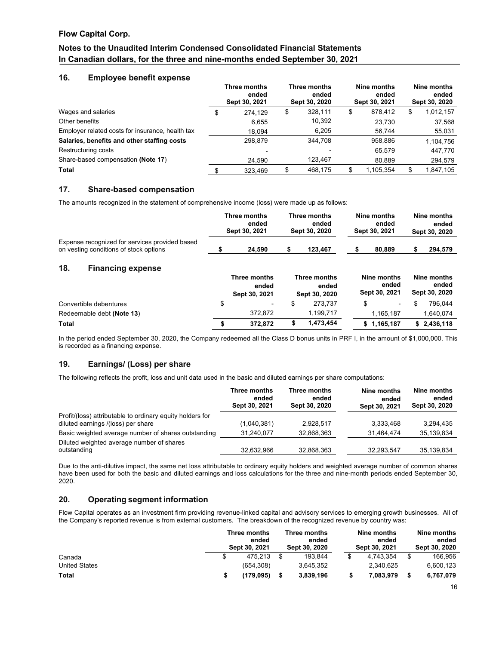# **Notes to the Unaudited Interim Condensed Consolidated Financial Statements In Canadian dollars, for the three and nine-months ended September 30, 2021**

### **16. Employee benefit expense**

|                                                  |    | Three months<br>ended<br>Sept 30, 2021 |    | Three months<br>ended<br>Sept 30, 2020 |    | Nine months<br>ended<br>Sept 30, 2021 | Nine months<br>ended<br>Sept 30, 2020 |           |  |
|--------------------------------------------------|----|----------------------------------------|----|----------------------------------------|----|---------------------------------------|---------------------------------------|-----------|--|
| Wages and salaries                               | \$ | 274.129                                | \$ | 328,111                                | \$ | 878.412                               | \$                                    | 1,012,157 |  |
| Other benefits                                   |    | 6,655                                  |    | 10,392                                 |    | 23,730                                |                                       | 37,568    |  |
| Employer related costs for insurance, health tax |    | 18.094                                 |    | 6,205                                  |    | 56.744                                |                                       | 55,031    |  |
| Salaries, benefits and other staffing costs      |    | 298.879                                |    | 344.708                                |    | 958,886                               |                                       | 1,104,756 |  |
| Restructuring costs                              |    |                                        |    |                                        |    | 65.579                                |                                       | 447.770   |  |
| Share-based compensation (Note 17)               |    | 24.590                                 |    | 123.467                                |    | 80.889                                |                                       | 294,579   |  |
| <b>Total</b>                                     |    | 323.469                                | S  | 468.175                                | S  | 1,105,354                             | \$                                    | 1,847,105 |  |

## **17. Share-based compensation**

The amounts recognized in the statement of comprehensive income (loss) were made up as follows:

|                                                                                          | Three months  |        | Three months  |         | Nine months   |        | Nine months   |         |
|------------------------------------------------------------------------------------------|---------------|--------|---------------|---------|---------------|--------|---------------|---------|
|                                                                                          | ended         |        | ended         |         | ended         |        | ended         |         |
|                                                                                          | Sept 30, 2021 |        | Sept 30, 2020 |         | Sept 30, 2021 |        | Sept 30, 2020 |         |
| Expense recognized for services provided based<br>on vesting conditions of stock options |               | 24.590 |               | 123.467 |               | 80,889 |               | 294.579 |

# **18. Financing expense**

|                           |  | Three months<br>ended<br>Sept 30, 2021 | Three months<br>ended<br>Sept 30, 2020 | Nine months<br>ended<br>Sept 30, 2021 |             | Nine months<br>ended<br>Sept 30, 2020 |             |
|---------------------------|--|----------------------------------------|----------------------------------------|---------------------------------------|-------------|---------------------------------------|-------------|
| Convertible debentures    |  | $\overline{\phantom{a}}$               | 273.737                                |                                       | ۰           |                                       | 796.044     |
| Redeemable debt (Note 13) |  | 372.872                                | 1,199,717                              |                                       | 1.165.187   |                                       | 1.640.074   |
| <b>Total</b>              |  | 372.872                                | 1.473.454                              |                                       | \$1,165,187 |                                       | \$2,436,118 |

In the period ended September 30, 2020, the Company redeemed all the Class D bonus units in PRF I, in the amount of \$1,000,000. This is recorded as a financing expense.

### **19. Earnings/ (Loss) per share**

The following reflects the profit, loss and unit data used in the basic and diluted earnings per share computations:

|                                                                                                 | Three months<br>ended<br>Sept 30, 2021 | Three months<br>ended<br>Sept 30, 2020 | Nine months<br>ended<br>Sept 30, 2021 | Nine months<br>ended<br>Sept 30, 2020 |
|-------------------------------------------------------------------------------------------------|----------------------------------------|----------------------------------------|---------------------------------------|---------------------------------------|
| Profit/(loss) attributable to ordinary equity holders for<br>diluted earnings /(loss) per share | (1,040,381)                            | 2.928.517                              | 3.333.468                             | 3,294,435                             |
| Basic weighted average number of shares outstanding                                             | 31.240.077                             | 32.868.363                             | 31.464.474                            | 35.139.834                            |
| Diluted weighted average number of shares<br>outstanding                                        | 32.632.966                             | 32.868.363                             | 32.293.547                            | 35.139.834                            |

Due to the anti-dilutive impact, the same net loss attributable to ordinary equity holders and weighted average number of common shares have been used for both the basic and diluted earnings and loss calculations for the three and nine-month periods ended September 30, 2020.

### **20. Operating segment information**

Flow Capital operates as an investment firm providing revenue-linked capital and advisory services to emerging growth businesses. All of the Company's reported revenue is from external customers. The breakdown of the recognized revenue by country was:

|                      | Three months<br>ended<br>Sept 30, 2021 |           | Three months<br>ended<br>Sept 30, 2020 |           | Nine months<br>ended<br>Sept 30, 2021 |           | Nine months<br>ended<br>Sept 30, 2020 |           |
|----------------------|----------------------------------------|-----------|----------------------------------------|-----------|---------------------------------------|-----------|---------------------------------------|-----------|
| Canada               |                                        | 475.213   |                                        | 193.844   |                                       | 4.743.354 |                                       | 166.956   |
| <b>United States</b> |                                        | (654.308) |                                        | 3.645.352 |                                       | 2.340.625 |                                       | 6.600.123 |
| <b>Total</b>         |                                        | (179.095) |                                        | 3.839.196 |                                       | 7.083.979 |                                       | 6,767,079 |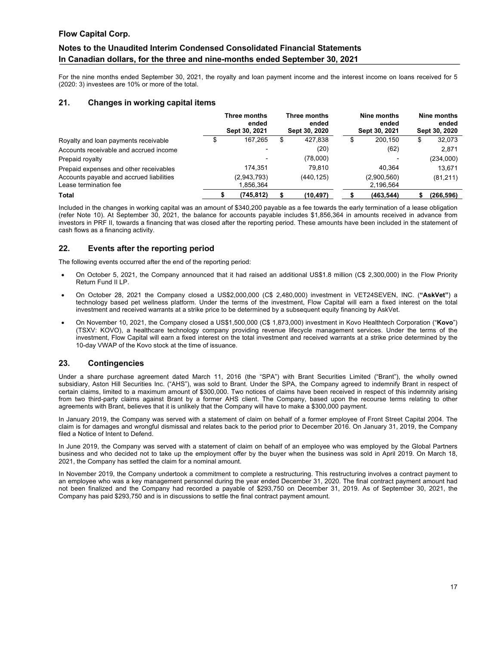# **Notes to the Unaudited Interim Condensed Consolidated Financial Statements In Canadian dollars, for the three and nine-months ended September 30, 2021**

For the nine months ended September 30, 2021, the royalty and loan payment income and the interest income on loans received for 5 (2020: 3) investees are 10% or more of the total.

### **21. Changes in working capital items**

|                                          | Three months<br>ended<br>Sept 30, 2021 |    | Three months<br>ended<br>Sept 30, 2020 | Nine months<br>ended<br>Sept 30, 2021 | Nine months<br>ended<br>Sept 30, 2020 |           |  |
|------------------------------------------|----------------------------------------|----|----------------------------------------|---------------------------------------|---------------------------------------|-----------|--|
| Royalty and loan payments receivable     | 167.265                                | \$ | 427.838                                | \$<br>200.150                         | æ                                     | 32,073    |  |
| Accounts receivable and accrued income   | $\overline{\phantom{0}}$               |    | (20)                                   | (62)                                  |                                       | 2,871     |  |
| Prepaid royalty                          | $\overline{\phantom{a}}$               |    | (78,000)                               |                                       |                                       | (234,000) |  |
| Prepaid expenses and other receivables   | 174.351                                |    | 79.810                                 | 40.364                                |                                       | 13.671    |  |
| Accounts payable and accrued liabilities | (2,943,793)                            |    | (440, 125)                             | (2,900,560)                           |                                       | (81,211)  |  |
| Lease termination fee                    | 1,856,364                              |    |                                        | 2,196,564                             |                                       |           |  |
| <b>Total</b>                             | (745.812)                              |    | (10, 497)                              | (463, 544)                            |                                       | (266.596) |  |

Included in the changes in working capital was an amount of \$340,200 payable as a fee towards the early termination of a lease obligation (refer Note 10). At September 30, 2021, the balance for accounts payable includes \$1,856,364 in amounts received in advance from investors in PRF II, towards a financing that was closed after the reporting period. These amounts have been included in the statement of cash flows as a financing activity.

### **22. Events after the reporting period**

The following events occurred after the end of the reporting period:

- On October 5, 2021, the Company announced that it had raised an additional US\$1.8 million (C\$ 2,300,000) in the Flow Priority Return Fund II LP.
- On October 28, 2021 the Company closed a US\$2,000,000 (C\$ 2,480,000) investment in VET24SEVEN, INC. (**"AskVet"**) a technology based pet wellness platform. Under the terms of the investment, Flow Capital will earn a fixed interest on the total investment and received warrants at a strike price to be determined by a subsequent equity financing by AskVet.
- On November 10, 2021, the Company closed a US\$1,500,000 (C\$ 1,873,000) investment in Kovo Healthtech Corporation ("**Kovo**") (TSXV: KOVO), a healthcare technology company providing revenue lifecycle management services. Under the terms of the investment, Flow Capital will earn a fixed interest on the total investment and received warrants at a strike price determined by the 10-day VWAP of the Kovo stock at the time of issuance.

### **23. Contingencies**

Under a share purchase agreement dated March 11, 2016 (the "SPA") with Brant Securities Limited ("Brant"), the wholly owned subsidiary, Aston Hill Securities Inc. ("AHS"), was sold to Brant. Under the SPA, the Company agreed to indemnify Brant in respect of certain claims, limited to a maximum amount of \$300,000. Two notices of claims have been received in respect of this indemnity arising from two third-party claims against Brant by a former AHS client. The Company, based upon the recourse terms relating to other agreements with Brant, believes that it is unlikely that the Company will have to make a \$300,000 payment.

In January 2019, the Company was served with a statement of claim on behalf of a former employee of Front Street Capital 2004. The claim is for damages and wrongful dismissal and relates back to the period prior to December 2016. On January 31, 2019, the Company filed a Notice of Intent to Defend.

In June 2019, the Company was served with a statement of claim on behalf of an employee who was employed by the Global Partners business and who decided not to take up the employment offer by the buyer when the business was sold in April 2019. On March 18, 2021, the Company has settled the claim for a nominal amount.

In November 2019, the Company undertook a commitment to complete a restructuring. This restructuring involves a contract payment to an employee who was a key management personnel during the year ended December 31, 2020. The final contract payment amount had not been finalized and the Company had recorded a payable of \$293,750 on December 31, 2019. As of September 30, 2021, the Company has paid \$293,750 and is in discussions to settle the final contract payment amount.